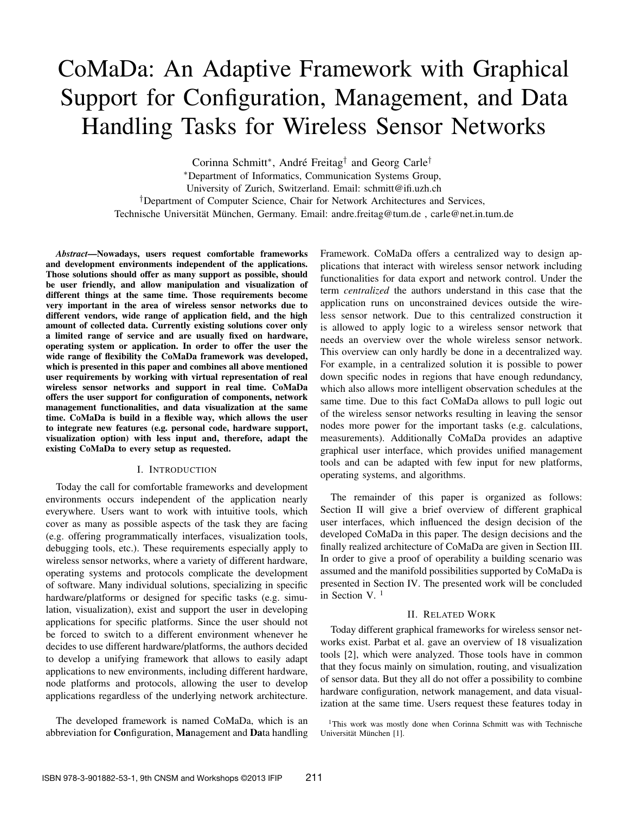# CoMaDa: An Adaptive Framework with Graphical Support for Configuration, Management, and Data Handling Tasks for Wireless Sensor Networks

Corinna Schmitt<sup>\*</sup>, André Freitag<sup>†</sup> and Georg Carle<sup>†</sup> ∗Department of Informatics, Communication Systems Group, University of Zurich, Switzerland. Email: schmitt@ifi.uzh.ch †Department of Computer Science, Chair for Network Architectures and Services, Technische Universität München, Germany. Email: andre.freitag@tum.de, carle@net.in.tum.de

*Abstract***—Nowadays, users request comfortable frameworks and development environments independent of the applications. Those solutions should offer as many support as possible, should be user friendly, and allow manipulation and visualization of different things at the same time. Those requirements become very important in the area of wireless sensor networks due to different vendors, wide range of application field, and the high amount of collected data. Currently existing solutions cover only a limited range of service and are usually fixed on hardware, operating system or application. In order to offer the user the wide range of flexibility the CoMaDa framework was developed, which is presented in this paper and combines all above mentioned user requirements by working with virtual representation of real wireless sensor networks and support in real time. CoMaDa offers the user support for configuration of components, network management functionalities, and data visualization at the same time. CoMaDa is build in a flexible way, which allows the user to integrate new features (e.g. personal code, hardware support, visualization option) with less input and, therefore, adapt the existing CoMaDa to every setup as requested.**

## I. INTRODUCTION

Today the call for comfortable frameworks and development environments occurs independent of the application nearly everywhere. Users want to work with intuitive tools, which cover as many as possible aspects of the task they are facing (e.g. offering programmatically interfaces, visualization tools, debugging tools, etc.). These requirements especially apply to wireless sensor networks, where a variety of different hardware, operating systems and protocols complicate the development of software. Many individual solutions, specializing in specific hardware/platforms or designed for specific tasks (e.g. simulation, visualization), exist and support the user in developing applications for specific platforms. Since the user should not be forced to switch to a different environment whenever he decides to use different hardware/platforms, the authors decided to develop a unifying framework that allows to easily adapt applications to new environments, including different hardware, node platforms and protocols, allowing the user to develop applications regardless of the underlying network architecture.

The developed framework is named CoMaDa, which is an abbreviation for **Co**nfiguration, **Ma**nagement and **Da**ta handling Framework. CoMaDa offers a centralized way to design applications that interact with wireless sensor network including functionalities for data export and network control. Under the term *centralized* the authors understand in this case that the application runs on unconstrained devices outside the wireless sensor network. Due to this centralized construction it is allowed to apply logic to a wireless sensor network that needs an overview over the whole wireless sensor network. This overview can only hardly be done in a decentralized way. For example, in a centralized solution it is possible to power down specific nodes in regions that have enough redundancy, which also allows more intelligent observation schedules at the same time. Due to this fact CoMaDa allows to pull logic out of the wireless sensor networks resulting in leaving the sensor nodes more power for the important tasks (e.g. calculations, measurements). Additionally CoMaDa provides an adaptive graphical user interface, which provides unified management tools and can be adapted with few input for new platforms, operating systems, and algorithms.

The remainder of this paper is organized as follows: Section II will give a brief overview of different graphical user interfaces, which influenced the design decision of the developed CoMaDa in this paper. The design decisions and the finally realized architecture of CoMaDa are given in Section III. In order to give a proof of operability a building scenario was assumed and the manifold possibilities supported by CoMaDa is presented in Section IV. The presented work will be concluded in Section V.  $<sup>1</sup>$ </sup>

## II. RELATED WORK

Today different graphical frameworks for wireless sensor networks exist. Parbat et al. gave an overview of 18 visualization tools [2], which were analyzed. Those tools have in common that they focus mainly on simulation, routing, and visualization of sensor data. But they all do not offer a possibility to combine hardware configuration, network management, and data visualization at the same time. Users request these features today in

<sup>&</sup>lt;sup>1</sup>This work was mostly done when Corinna Schmitt was with Technische Universität München [1].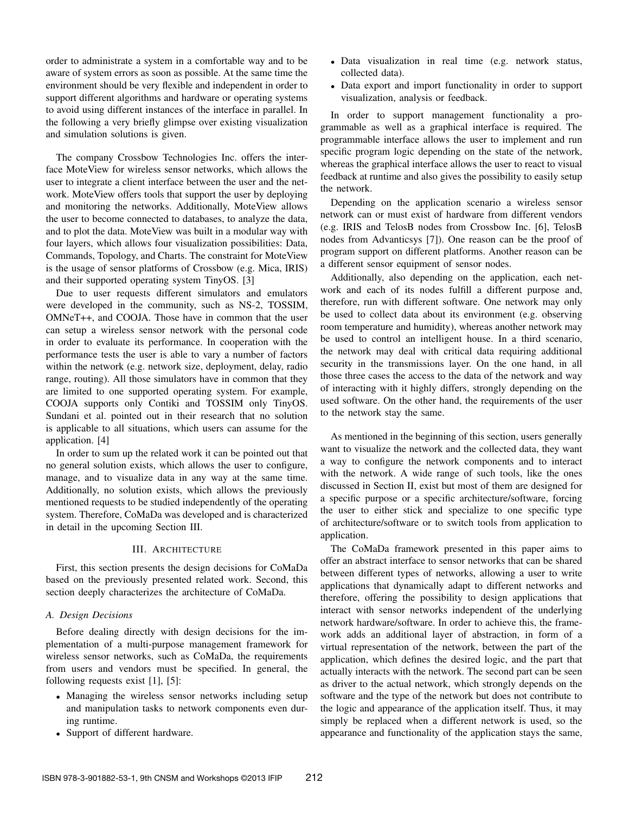order to administrate a system in a comfortable way and to be aware of system errors as soon as possible. At the same time the environment should be very flexible and independent in order to support different algorithms and hardware or operating systems to avoid using different instances of the interface in parallel. In the following a very briefly glimpse over existing visualization and simulation solutions is given.

The company Crossbow Technologies Inc. offers the interface MoteView for wireless sensor networks, which allows the user to integrate a client interface between the user and the network. MoteView offers tools that support the user by deploying and monitoring the networks. Additionally, MoteView allows the user to become connected to databases, to analyze the data, and to plot the data. MoteView was built in a modular way with four layers, which allows four visualization possibilities: Data, Commands, Topology, and Charts. The constraint for MoteView is the usage of sensor platforms of Crossbow (e.g. Mica, IRIS) and their supported operating system TinyOS. [3]

Due to user requests different simulators and emulators were developed in the community, such as NS-2, TOSSIM, OMNeT++, and COOJA. Those have in common that the user can setup a wireless sensor network with the personal code in order to evaluate its performance. In cooperation with the performance tests the user is able to vary a number of factors within the network (e.g. network size, deployment, delay, radio range, routing). All those simulators have in common that they are limited to one supported operating system. For example, COOJA supports only Contiki and TOSSIM only TinyOS. Sundani et al. pointed out in their research that no solution is applicable to all situations, which users can assume for the application. [4]

In order to sum up the related work it can be pointed out that no general solution exists, which allows the user to configure, manage, and to visualize data in any way at the same time. Additionally, no solution exists, which allows the previously mentioned requests to be studied independently of the operating system. Therefore, CoMaDa was developed and is characterized in detail in the upcoming Section III.

## III. ARCHITECTURE

First, this section presents the design decisions for CoMaDa based on the previously presented related work. Second, this section deeply characterizes the architecture of CoMaDa.

## *A. Design Decisions*

Before dealing directly with design decisions for the implementation of a multi-purpose management framework for wireless sensor networks, such as CoMaDa, the requirements from users and vendors must be specified. In general, the following requests exist [1], [5]:

- Managing the wireless sensor networks including setup and manipulation tasks to network components even during runtime.
- Support of different hardware.
- Data visualization in real time (e.g. network status, collected data).
- Data export and import functionality in order to support visualization, analysis or feedback.

In order to support management functionality a programmable as well as a graphical interface is required. The programmable interface allows the user to implement and run specific program logic depending on the state of the network, whereas the graphical interface allows the user to react to visual feedback at runtime and also gives the possibility to easily setup the network.

Depending on the application scenario a wireless sensor network can or must exist of hardware from different vendors (e.g. IRIS and TelosB nodes from Crossbow Inc. [6], TelosB nodes from Advanticsys [7]). One reason can be the proof of program support on different platforms. Another reason can be a different sensor equipment of sensor nodes.

Additionally, also depending on the application, each network and each of its nodes fulfill a different purpose and, therefore, run with different software. One network may only be used to collect data about its environment (e.g. observing room temperature and humidity), whereas another network may be used to control an intelligent house. In a third scenario, the network may deal with critical data requiring additional security in the transmissions layer. On the one hand, in all those three cases the access to the data of the network and way of interacting with it highly differs, strongly depending on the used software. On the other hand, the requirements of the user to the network stay the same.

As mentioned in the beginning of this section, users generally want to visualize the network and the collected data, they want a way to configure the network components and to interact with the network. A wide range of such tools, like the ones discussed in Section II, exist but most of them are designed for a specific purpose or a specific architecture/software, forcing the user to either stick and specialize to one specific type of architecture/software or to switch tools from application to application.

The CoMaDa framework presented in this paper aims to offer an abstract interface to sensor networks that can be shared between different types of networks, allowing a user to write applications that dynamically adapt to different networks and therefore, offering the possibility to design applications that interact with sensor networks independent of the underlying network hardware/software. In order to achieve this, the framework adds an additional layer of abstraction, in form of a virtual representation of the network, between the part of the application, which defines the desired logic, and the part that actually interacts with the network. The second part can be seen as driver to the actual network, which strongly depends on the software and the type of the network but does not contribute to the logic and appearance of the application itself. Thus, it may simply be replaced when a different network is used, so the appearance and functionality of the application stays the same,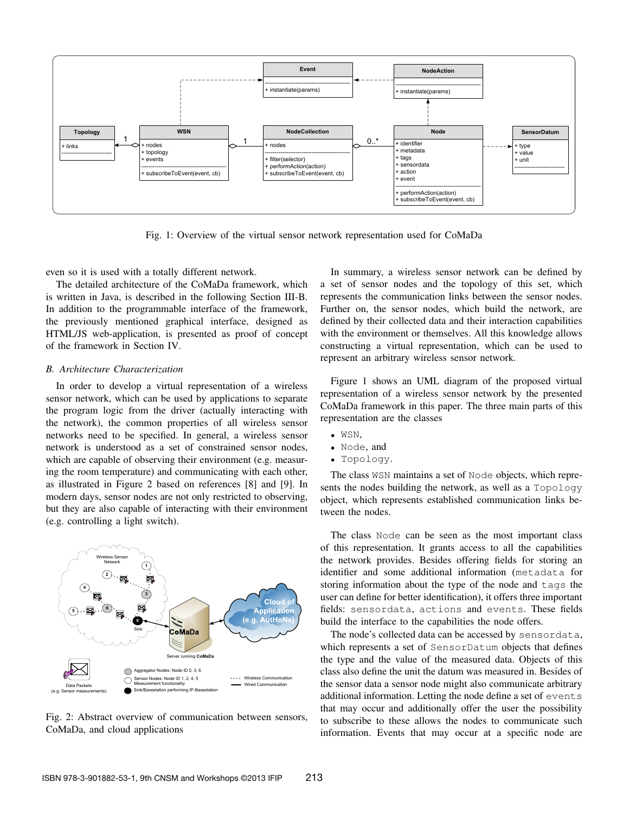

Fig. 1: Overview of the virtual sensor network representation used for CoMaDa

even so it is used with a totally different network.

The detailed architecture of the CoMaDa framework, which is written in Java, is described in the following Section III-B. In addition to the programmable interface of the framework, the previously mentioned graphical interface, designed as HTML/JS web-application, is presented as proof of concept of the framework in Section IV.

## *B. Architecture Characterization*

In order to develop a virtual representation of a wireless sensor network, which can be used by applications to separate the program logic from the driver (actually interacting with the network), the common properties of all wireless sensor networks need to be specified. In general, a wireless sensor network is understood as a set of constrained sensor nodes, which are capable of observing their environment (e.g. measuring the room temperature) and communicating with each other, as illustrated in Figure 2 based on references [8] and [9]. In modern days, sensor nodes are not only restricted to observing, but they are also capable of interacting with their environment (e.g. controlling a light switch).



Fig. 2: Abstract overview of communication between sensors, CoMaDa, and cloud applications

In summary, a wireless sensor network can be defined by a set of sensor nodes and the topology of this set, which represents the communication links between the sensor nodes. Further on, the sensor nodes, which build the network, are defined by their collected data and their interaction capabilities with the environment or themselves. All this knowledge allows constructing a virtual representation, which can be used to represent an arbitrary wireless sensor network.

Figure 1 shows an UML diagram of the proposed virtual representation of a wireless sensor network by the presented CoMaDa framework in this paper. The three main parts of this representation are the classes

- WSN,
- Node, and
- Topology.

The class WSN maintains a set of Node objects, which represents the nodes building the network, as well as a Topology object, which represents established communication links between the nodes.

The class Node can be seen as the most important class of this representation. It grants access to all the capabilities the network provides. Besides offering fields for storing an identifier and some additional information (metadata for storing information about the type of the node and tags the user can define for better identification), it offers three important fields: sensordata, actions and events. These fields build the interface to the capabilities the node offers.

The node's collected data can be accessed by sensordata, which represents a set of SensorDatum objects that defines the type and the value of the measured data. Objects of this class also define the unit the datum was measured in. Besides of the sensor data a sensor node might also communicate arbitrary additional information. Letting the node define a set of events that may occur and additionally offer the user the possibility to subscribe to these allows the nodes to communicate such information. Events that may occur at a specific node are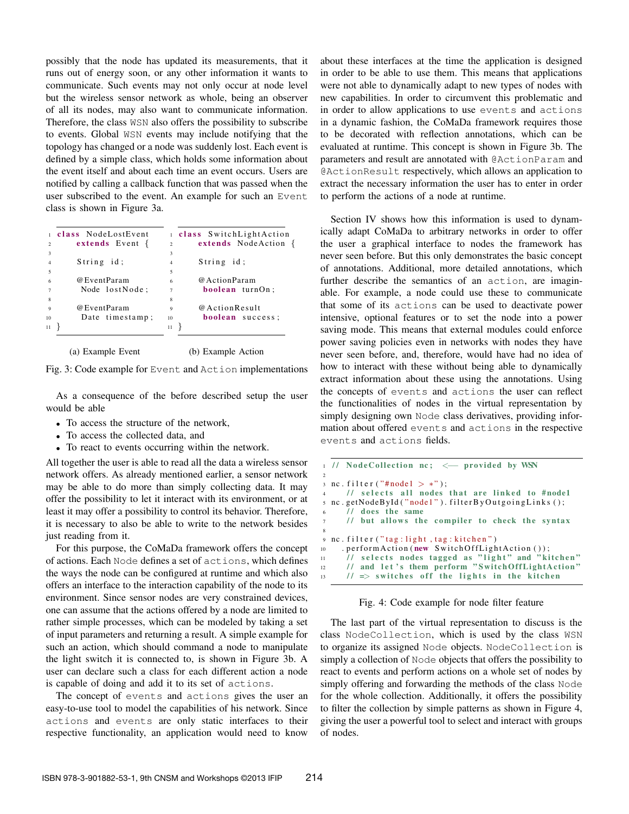possibly that the node has updated its measurements, that it runs out of energy soon, or any other information it wants to communicate. Such events may not only occur at node level but the wireless sensor network as whole, being an observer of all its nodes, may also want to communicate information. Therefore, the class WSN also offers the possibility to subscribe to events. Global WSN events may include notifying that the topology has changed or a node was suddenly lost. Each event is defined by a simple class, which holds some information about the event itself and about each time an event occurs. Users are notified by calling a callback function that was passed when the user subscribed to the event. An example for such an Event class is shown in Figure 3a.

| $\overline{c}$ | class NodeLostEvent<br>extends Event | $\overline{c}$ | 1 class SwitchLightAction<br>extends NodeAction { |
|----------------|--------------------------------------|----------------|---------------------------------------------------|
| 3              |                                      | 3              |                                                   |
|                | String id;                           | $\overline{4}$ | String id;                                        |
| 5              |                                      | 5              |                                                   |
| 6              | @EventParam                          | 6              | @ActionParam                                      |
|                | Node lostNode;                       | 7              | boolean turnOn:                                   |
|                |                                      | 8              |                                                   |
|                | @EventParam                          | 9              | @ Action Result                                   |
|                | Date timestamp;                      | 10             | boolean success:                                  |
|                |                                      | 11             |                                                   |

(b) Example Action



As a consequence of the before described setup the user would be able

- To access the structure of the network,
- To access the collected data, and

(a) Example Event

• To react to events occurring within the network.

All together the user is able to read all the data a wireless sensor network offers. As already mentioned earlier, a sensor network may be able to do more than simply collecting data. It may offer the possibility to let it interact with its environment, or at least it may offer a possibility to control its behavior. Therefore, it is necessary to also be able to write to the network besides just reading from it.

For this purpose, the CoMaDa framework offers the concept of actions. Each Node defines a set of actions, which defines the ways the node can be configured at runtime and which also offers an interface to the interaction capability of the node to its environment. Since sensor nodes are very constrained devices, one can assume that the actions offered by a node are limited to rather simple processes, which can be modeled by taking a set of input parameters and returning a result. A simple example for such an action, which should command a node to manipulate the light switch it is connected to, is shown in Figure 3b. A user can declare such a class for each different action a node is capable of doing and add it to its set of actions.

The concept of events and actions gives the user an easy-to-use tool to model the capabilities of his network. Since actions and events are only static interfaces to their respective functionality, an application would need to know about these interfaces at the time the application is designed in order to be able to use them. This means that applications were not able to dynamically adapt to new types of nodes with new capabilities. In order to circumvent this problematic and in order to allow applications to use events and actions in a dynamic fashion, the CoMaDa framework requires those to be decorated with reflection annotations, which can be evaluated at runtime. This concept is shown in Figure 3b. The parameters and result are annotated with @ActionParam and @ActionResult respectively, which allows an application to extract the necessary information the user has to enter in order to perform the actions of a node at runtime.

Section IV shows how this information is used to dynamically adapt CoMaDa to arbitrary networks in order to offer the user a graphical interface to nodes the framework has never seen before. But this only demonstrates the basic concept of annotations. Additional, more detailed annotations, which further describe the semantics of an action, are imaginable. For example, a node could use these to communicate that some of its actions can be used to deactivate power intensive, optional features or to set the node into a power saving mode. This means that external modules could enforce power saving policies even in networks with nodes they have never seen before, and, therefore, would have had no idea of how to interact with these without being able to dynamically extract information about these using the annotations. Using the concepts of events and actions the user can reflect the functionalities of nodes in the virtual representation by simply designing own Node class derivatives, providing information about offered events and actions in the respective events and actions fields.

```
1 // NodeCollection nc; < provided by WSN
2
\alpha nc. filter ("#node1 > *");
     // selects all nodes that are linked to #node1
  nc.getNodeById ("node1"). filterByOutgoingLinks();
     6 / / does the same
     // but allows the compiler to check the syntax
8
9 nc. filter ("tag:light, tag: kitchen")
10 . perform Action (new Switch OffLight Action ());
11 // selects nodes tagged as "light" and "kitchen"
12 // and let's them perform "SwitchOffLightAction"
13 // => switches off the lights in the kitchen
```
## Fig. 4: Code example for node filter feature

The last part of the virtual representation to discuss is the class NodeCollection, which is used by the class WSN to organize its assigned Node objects. NodeCollection is simply a collection of Node objects that offers the possibility to react to events and perform actions on a whole set of nodes by simply offering and forwarding the methods of the class Node for the whole collection. Additionally, it offers the possibility to filter the collection by simple patterns as shown in Figure 4, giving the user a powerful tool to select and interact with groups of nodes.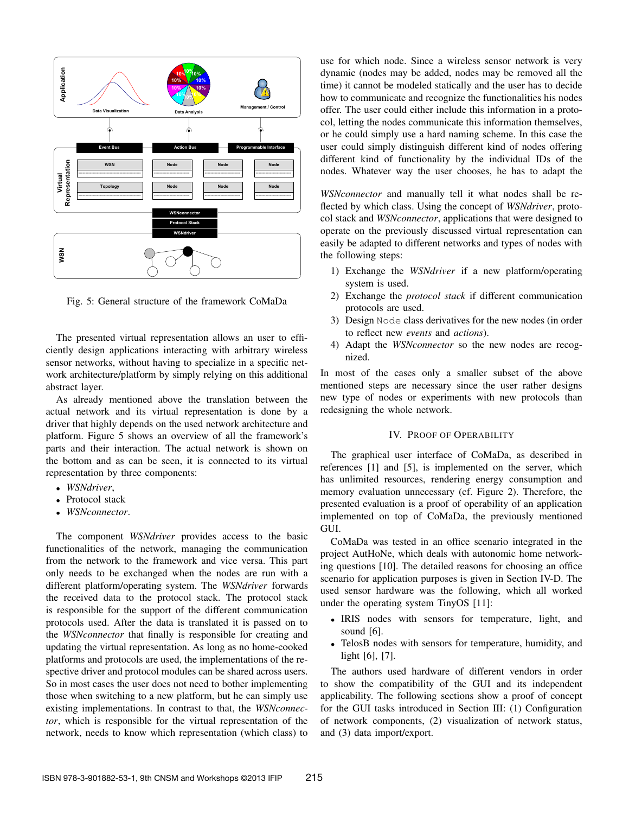

Fig. 5: General structure of the framework CoMaDa

The presented virtual representation allows an user to efficiently design applications interacting with arbitrary wireless sensor networks, without having to specialize in a specific network architecture/platform by simply relying on this additional abstract layer.

As already mentioned above the translation between the actual network and its virtual representation is done by a driver that highly depends on the used network architecture and platform. Figure 5 shows an overview of all the framework's parts and their interaction. The actual network is shown on the bottom and as can be seen, it is connected to its virtual representation by three components:

- *WSNdriver*,
- Protocol stack
- *WSNconnector*.

The component *WSNdriver* provides access to the basic functionalities of the network, managing the communication from the network to the framework and vice versa. This part only needs to be exchanged when the nodes are run with a different platform/operating system. The *WSNdriver* forwards the received data to the protocol stack. The protocol stack is responsible for the support of the different communication protocols used. After the data is translated it is passed on to the *WSNconnector* that finally is responsible for creating and updating the virtual representation. As long as no home-cooked platforms and protocols are used, the implementations of the respective driver and protocol modules can be shared across users. So in most cases the user does not need to bother implementing those when switching to a new platform, but he can simply use existing implementations. In contrast to that, the *WSNconnector*, which is responsible for the virtual representation of the network, needs to know which representation (which class) to

use for which node. Since a wireless sensor network is very dynamic (nodes may be added, nodes may be removed all the time) it cannot be modeled statically and the user has to decide how to communicate and recognize the functionalities his nodes offer. The user could either include this information in a protocol, letting the nodes communicate this information themselves, or he could simply use a hard naming scheme. In this case the user could simply distinguish different kind of nodes offering different kind of functionality by the individual IDs of the nodes. Whatever way the user chooses, he has to adapt the

*WSNconnector* and manually tell it what nodes shall be reflected by which class. Using the concept of *WSNdriver*, protocol stack and *WSNconnector*, applications that were designed to operate on the previously discussed virtual representation can easily be adapted to different networks and types of nodes with the following steps:

- 1) Exchange the *WSNdriver* if a new platform/operating system is used.
- 2) Exchange the *protocol stack* if different communication protocols are used.
- 3) Design Node class derivatives for the new nodes (in order to reflect new *events* and *actions*).
- 4) Adapt the *WSNconnector* so the new nodes are recognized.

In most of the cases only a smaller subset of the above mentioned steps are necessary since the user rather designs new type of nodes or experiments with new protocols than redesigning the whole network.

## IV. PROOF OF OPERABILITY

The graphical user interface of CoMaDa, as described in references [1] and [5], is implemented on the server, which has unlimited resources, rendering energy consumption and memory evaluation unnecessary (cf. Figure 2). Therefore, the presented evaluation is a proof of operability of an application implemented on top of CoMaDa, the previously mentioned GUI.

CoMaDa was tested in an office scenario integrated in the project AutHoNe, which deals with autonomic home networking questions [10]. The detailed reasons for choosing an office scenario for application purposes is given in Section IV-D. The used sensor hardware was the following, which all worked under the operating system TinyOS [11]:

- IRIS nodes with sensors for temperature, light, and sound [6].
- TelosB nodes with sensors for temperature, humidity, and light [6], [7].

The authors used hardware of different vendors in order to show the compatibility of the GUI and its independent applicability. The following sections show a proof of concept for the GUI tasks introduced in Section III: (1) Configuration of network components, (2) visualization of network status, and (3) data import/export.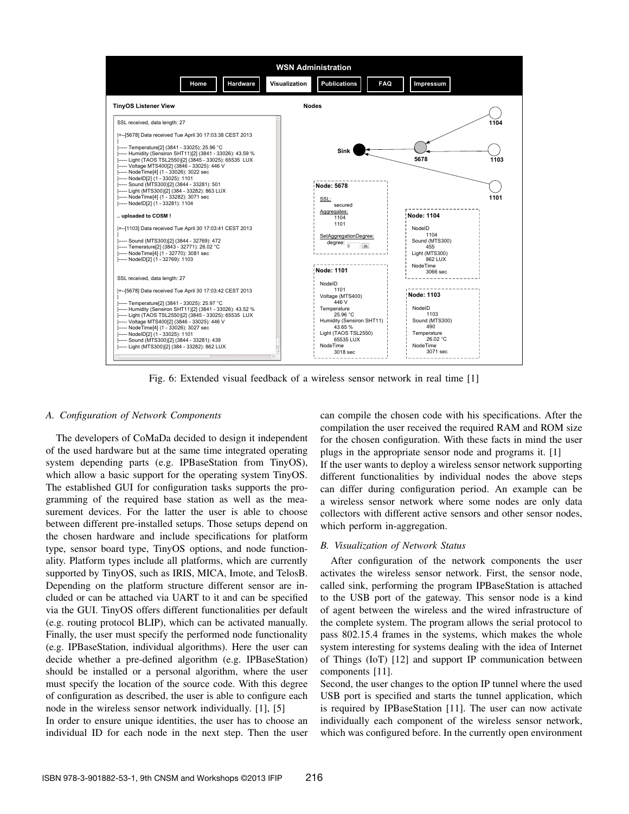

Fig. 6: Extended visual feedback of a wireless sensor network in real time [1]

## *A. Configuration of Network Components*

The developers of CoMaDa decided to design it independent of the used hardware but at the same time integrated operating system depending parts (e.g. IPBaseStation from TinyOS), which allow a basic support for the operating system TinyOS. The established GUI for configuration tasks supports the programming of the required base station as well as the measurement devices. For the latter the user is able to choose between different pre-installed setups. Those setups depend on the chosen hardware and include specifications for platform type, sensor board type, TinyOS options, and node functionality. Platform types include all platforms, which are currently supported by TinyOS, such as IRIS, MICA, Imote, and TelosB. Depending on the platform structure different sensor are included or can be attached via UART to it and can be specified via the GUI. TinyOS offers different functionalities per default (e.g. routing protocol BLIP), which can be activated manually. Finally, the user must specify the performed node functionality (e.g. IPBaseStation, individual algorithms). Here the user can decide whether a pre-defined algorithm (e.g. IPBaseStation) should be installed or a personal algorithm, where the user must specify the location of the source code. With this degree of configuration as described, the user is able to configure each node in the wireless sensor network individually. [1], [5]

In order to ensure unique identities, the user has to choose an individual ID for each node in the next step. Then the user can compile the chosen code with his specifications. After the compilation the user received the required RAM and ROM size for the chosen configuration. With these facts in mind the user plugs in the appropriate sensor node and programs it. [1] If the user wants to deploy a wireless sensor network supporting different functionalities by individual nodes the above steps can differ during configuration period. An example can be a wireless sensor network where some nodes are only data collectors with different active sensors and other sensor nodes, which perform in-aggregation.

## *B. Visualization of Network Status*

After configuration of the network components the user activates the wireless sensor network. First, the sensor node, called sink, performing the program IPBaseStation is attached to the USB port of the gateway. This sensor node is a kind of agent between the wireless and the wired infrastructure of the complete system. The program allows the serial protocol to pass 802.15.4 frames in the systems, which makes the whole system interesting for systems dealing with the idea of Internet of Things (IoT) [12] and support IP communication between components [11].

Second, the user changes to the option IP tunnel where the used USB port is specified and starts the tunnel application, which is required by IPBaseStation [11]. The user can now activate individually each component of the wireless sensor network, which was configured before. In the currently open environment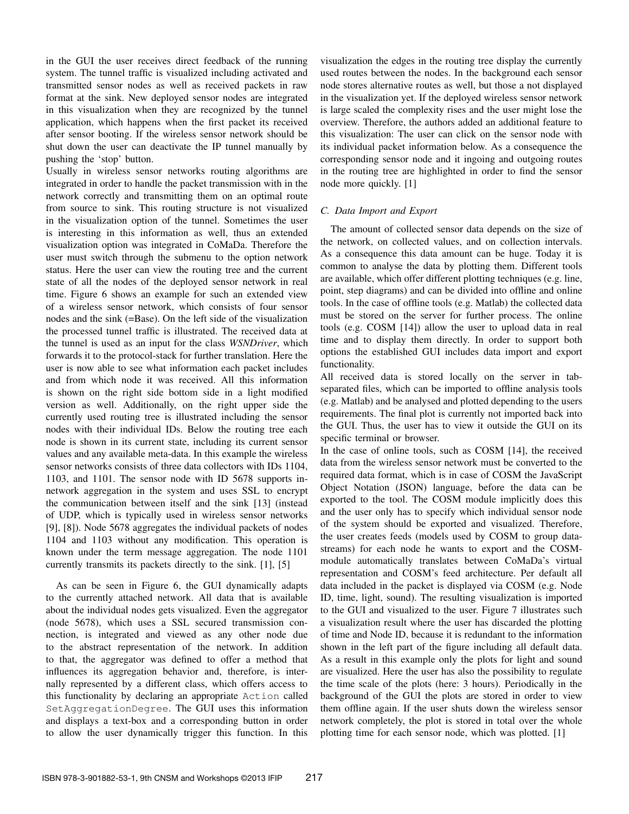in the GUI the user receives direct feedback of the running system. The tunnel traffic is visualized including activated and transmitted sensor nodes as well as received packets in raw format at the sink. New deployed sensor nodes are integrated in this visualization when they are recognized by the tunnel application, which happens when the first packet its received after sensor booting. If the wireless sensor network should be shut down the user can deactivate the IP tunnel manually by pushing the 'stop' button.

Usually in wireless sensor networks routing algorithms are integrated in order to handle the packet transmission with in the network correctly and transmitting them on an optimal route from source to sink. This routing structure is not visualized in the visualization option of the tunnel. Sometimes the user is interesting in this information as well, thus an extended visualization option was integrated in CoMaDa. Therefore the user must switch through the submenu to the option network status. Here the user can view the routing tree and the current state of all the nodes of the deployed sensor network in real time. Figure 6 shows an example for such an extended view of a wireless sensor network, which consists of four sensor nodes and the sink (=Base). On the left side of the visualization the processed tunnel traffic is illustrated. The received data at the tunnel is used as an input for the class *WSNDriver*, which forwards it to the protocol-stack for further translation. Here the user is now able to see what information each packet includes and from which node it was received. All this information is shown on the right side bottom side in a light modified version as well. Additionally, on the right upper side the currently used routing tree is illustrated including the sensor nodes with their individual IDs. Below the routing tree each node is shown in its current state, including its current sensor values and any available meta-data. In this example the wireless sensor networks consists of three data collectors with IDs 1104, 1103, and 1101. The sensor node with ID 5678 supports innetwork aggregation in the system and uses SSL to encrypt the communication between itself and the sink [13] (instead of UDP, which is typically used in wireless sensor networks [9], [8]). Node 5678 aggregates the individual packets of nodes 1104 and 1103 without any modification. This operation is known under the term message aggregation. The node 1101 currently transmits its packets directly to the sink. [1], [5]

As can be seen in Figure 6, the GUI dynamically adapts to the currently attached network. All data that is available about the individual nodes gets visualized. Even the aggregator (node 5678), which uses a SSL secured transmission connection, is integrated and viewed as any other node due to the abstract representation of the network. In addition to that, the aggregator was defined to offer a method that influences its aggregation behavior and, therefore, is internally represented by a different class, which offers access to this functionality by declaring an appropriate Action called SetAggregationDegree. The GUI uses this information and displays a text-box and a corresponding button in order to allow the user dynamically trigger this function. In this visualization the edges in the routing tree display the currently used routes between the nodes. In the background each sensor node stores alternative routes as well, but those a not displayed in the visualization yet. If the deployed wireless sensor network is large scaled the complexity rises and the user might lose the overview. Therefore, the authors added an additional feature to this visualization: The user can click on the sensor node with its individual packet information below. As a consequence the corresponding sensor node and it ingoing and outgoing routes in the routing tree are highlighted in order to find the sensor node more quickly. [1]

## *C. Data Import and Export*

The amount of collected sensor data depends on the size of the network, on collected values, and on collection intervals. As a consequence this data amount can be huge. Today it is common to analyse the data by plotting them. Different tools are available, which offer different plotting techniques (e.g. line, point, step diagrams) and can be divided into offline and online tools. In the case of offline tools (e.g. Matlab) the collected data must be stored on the server for further process. The online tools (e.g. COSM [14]) allow the user to upload data in real time and to display them directly. In order to support both options the established GUI includes data import and export functionality.

All received data is stored locally on the server in tabseparated files, which can be imported to offline analysis tools (e.g. Matlab) and be analysed and plotted depending to the users requirements. The final plot is currently not imported back into the GUI. Thus, the user has to view it outside the GUI on its specific terminal or browser.

In the case of online tools, such as COSM [14], the received data from the wireless sensor network must be converted to the required data format, which is in case of COSM the JavaScript Object Notation (JSON) language, before the data can be exported to the tool. The COSM module implicitly does this and the user only has to specify which individual sensor node of the system should be exported and visualized. Therefore, the user creates feeds (models used by COSM to group datastreams) for each node he wants to export and the COSMmodule automatically translates between CoMaDa's virtual representation and COSM's feed architecture. Per default all data included in the packet is displayed via COSM (e.g. Node ID, time, light, sound). The resulting visualization is imported to the GUI and visualized to the user. Figure 7 illustrates such a visualization result where the user has discarded the plotting of time and Node ID, because it is redundant to the information shown in the left part of the figure including all default data. As a result in this example only the plots for light and sound are visualized. Here the user has also the possibility to regulate the time scale of the plots (here: 3 hours). Periodically in the background of the GUI the plots are stored in order to view them offline again. If the user shuts down the wireless sensor network completely, the plot is stored in total over the whole plotting time for each sensor node, which was plotted. [1]